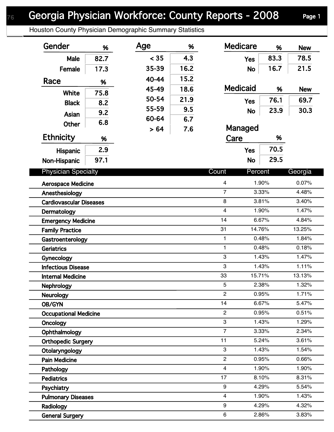## Houston County Physician Demographic Summary Statistics

| Gender                                      | %    | Age   | %                                         | <b>Medicare</b>         | %              | <b>New</b>     |
|---------------------------------------------|------|-------|-------------------------------------------|-------------------------|----------------|----------------|
| Male                                        | 82.7 | < 35  | 4.3                                       | <b>Yes</b>              | 83.3           | 78.5           |
| Female                                      | 17.3 | 35-39 | 16.2                                      | <b>No</b>               | 16.7           | 21.5           |
| Race                                        | %    | 40-44 | 15.2                                      |                         |                |                |
|                                             |      | 45-49 | 18.6                                      | <b>Medicaid</b>         | %              | <b>New</b>     |
| <b>White</b>                                | 75.8 | 50-54 | 21.9                                      | <b>Yes</b>              | 76.1           | 69.7           |
| <b>Black</b>                                | 8.2  | 55-59 | 9.5                                       | <b>No</b>               | 23.9           | 30.3           |
| Asian                                       | 9.2  | 60-64 | 6.7                                       |                         |                |                |
| <b>Other</b>                                | 6.8  | >64   | 7.6                                       | Managed                 |                |                |
| <b>Ethnicity</b>                            | %    |       |                                           | Care<br>%               |                |                |
| Hispanic                                    | 2.9  |       |                                           | <b>Yes</b>              | 70.5           |                |
| Non-Hispanic                                | 97.1 |       |                                           | <b>No</b>               | 29.5           |                |
| <b>Physician Specialty</b>                  |      |       |                                           | Count<br>Percent        |                | Georgia        |
|                                             |      |       |                                           |                         |                |                |
| <b>Aerospace Medicine</b><br>Anesthesiology |      |       | $\overline{\mathbf{4}}$<br>$\overline{7}$ | 1.90%<br>3.33%          | 0.07%<br>4.48% |                |
| <b>Cardiovascular Diseases</b>              |      |       |                                           | 8                       | 3.81%          | 3.40%          |
| Dermatology                                 |      |       |                                           | $\overline{\mathbf{4}}$ | 1.90%          | 1.47%          |
| <b>Emergency Medicine</b>                   |      |       |                                           | 14                      | 6.67%          | 4.84%          |
| <b>Family Practice</b>                      |      |       |                                           | 31<br>14.76%            |                | 13.25%         |
| Gastroenterology                            |      |       |                                           | 1                       | 0.48%          | 1.84%          |
| <b>Geriatrics</b>                           |      |       |                                           | 1                       | 0.48%          | 0.18%          |
| Gynecology                                  |      |       |                                           | 3                       | 1.43%          | 1.47%          |
| <b>Infectious Disease</b>                   |      |       |                                           | 3                       | 1.43%          | 1.11%          |
| <b>Internal Medicine</b>                    |      |       | 33<br>15.71%                              |                         | 13.13%         |                |
| Nephrology                                  |      |       | 5                                         | 2.38%                   | 1.32%          |                |
| <b>Neurology</b>                            |      |       | $\overline{c}$                            | 0.95%                   |                |                |
| OB/GYN                                      |      |       | 14                                        | 6.67%                   | 5.47%          |                |
| <b>Occupational Medicine</b>                |      |       | $\overline{2}$                            | 0.95%                   | 0.51%          |                |
| Oncology                                    |      |       | 3                                         | 1.43%                   | 1.29%          |                |
| Ophthalmology                               |      |       | $\overline{7}$                            | 3.33%                   | 2.34%          |                |
| <b>Orthopedic Surgery</b>                   |      |       |                                           | 11                      | 5.24%          | 3.61%          |
| Otolaryngology                              |      |       |                                           | 3                       | 1.43%          | 1.54%          |
| <b>Pain Medicine</b>                        |      |       |                                           | $\overline{2}$          | 0.95%          | 0.66%          |
| Pathology                                   |      |       |                                           | $\overline{4}$          | 1.90%          | 1.90%<br>8.31% |
| <b>Pediatrics</b>                           |      |       |                                           | 17                      | 8.10%          |                |
| Psychiatry                                  |      |       |                                           | 9                       | 4.29%<br>1.90% |                |
| <b>Pulmonary Diseases</b>                   |      |       |                                           | 4                       |                | 1.43%          |
| Radiology                                   |      |       |                                           | 9<br>6                  | 4.29%<br>2.86% | 4.32%<br>3.83% |
| <b>General Surgery</b>                      |      |       |                                           |                         |                |                |